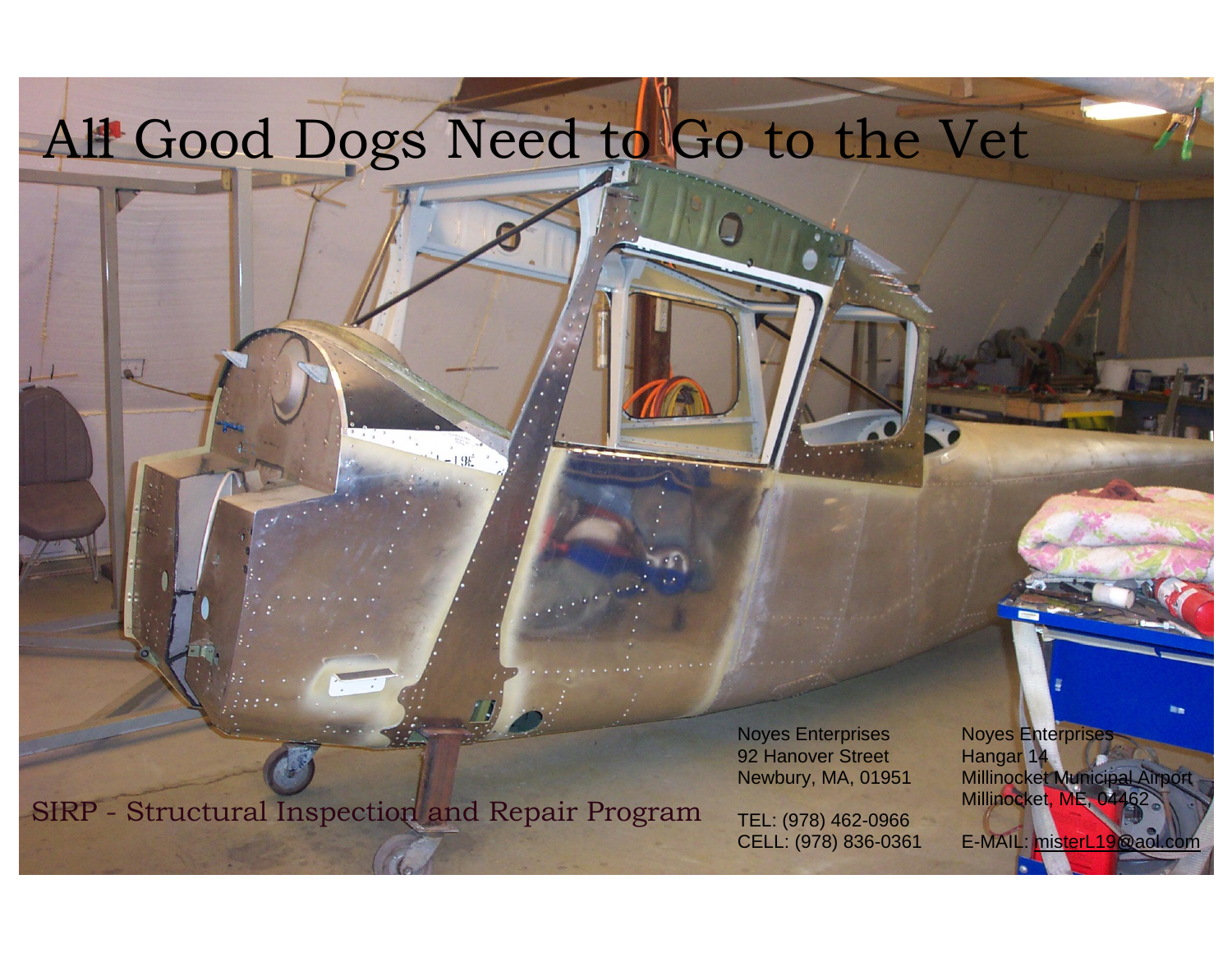## All Good Dogs Need to Go to the Vet

SIRP - Structural Inspection and Repair Program

92 Hanover Street Hangar 14

TEL: (978) 462-0966

Noyes Enterprises Noyes Enterprises Newbury, MA, 01951 Millinocket Municipal Airport Millinocket, ME, 04462

CELL: (978) 836-0361 E-MAIL: [misterL19@aol.com](mailto:misterL19@aol.com)